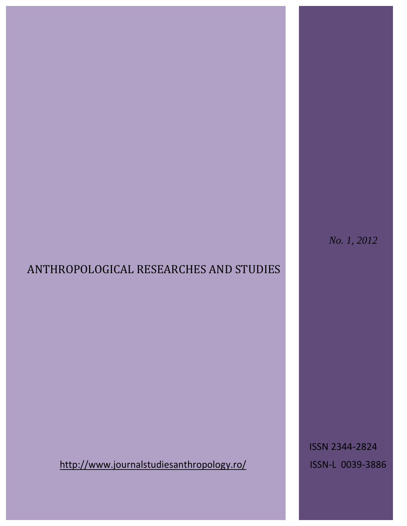# ANTHROPOLOGICAL RESEARCHES AND STUDIES

<http://www.journalstudiesanthropology.ro/>ISSN-L 0039-3886

*No. 1, 2012*

ISSN 2344-2824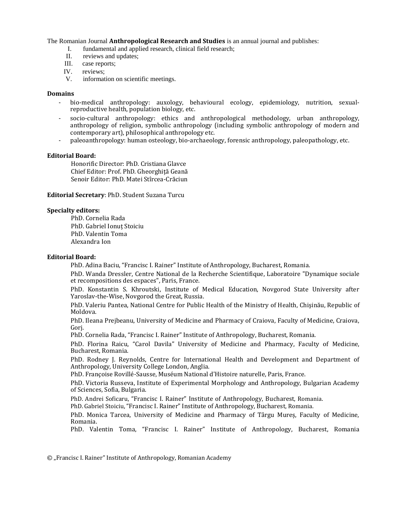The Romanian Journal **Anthropological Research and Studies** is an annual journal and publishes:

- I. fundamental and applied research, clinical field research;
- II. reviews and updates;
- III. case reports;
- IV. reviews;
- V. information on scientific meetings.

#### **Domains**

- bio-medical anthropology: auxology, behavioural ecology, epidemiology, nutrition, sexualreproductive health, population biology, etc.
- socio-cultural anthropology: ethics and anthropological methodology, urban anthropology, anthropology of religion, symbolic anthropology (including symbolic anthropology of modern and contemporary art), philosophical anthropology etc.
- paleoanthropology: human osteology, bio-archaeology, forensic anthropology, paleopathology, etc.

#### **Editorial Board:**

Honorific Director: PhD. Cristiana Glavce Chief Editor: Prof. PhD. Gheorghiţă Geană Senoir Editor: PhD. Matei Stîrcea-Crăciun

**Editorial Secretary**: PhD. Student Suzana Turcu

#### **Specialty editors:**

PhD. Cornelia Rada PhD. Gabriel Ionut Stoiciu PhD. Valentin Toma Alexandra Ion

#### **Editorial Board:**

PhD. Adina Baciu, "Francisc I. Rainer" Institute of Anthropology, Bucharest, Romania.

PhD. Wanda Dressler, Centre National de la Recherche Scientifique, Laboratoire "Dynamique sociale et recompositions des espaces", Paris, France.

PhD. Konstantin S. Khroutski, Institute of Medical Education, Novgorod State University after Yaroslav-the-Wise, Novgorod the Great, Russia.

PhD. Valeriu Pantea, National Centre for Public Health of the Ministry of Health, Chişinău, Republic of Moldova.

PhD. Ileana Prejbeanu, University of Medicine and Pharmacy of Craiova, Faculty of Medicine, Craiova, Gorj.

PhD. Cornelia Rada, "Francisc I. Rainer" Institute of Anthropology, Bucharest, Romania.

PhD. Florina Raicu, "Carol Davila" University of Medicine and Pharmacy, Faculty of Medicine, Bucharest, Romania.

PhD. Rodney J. Reynolds, Centre for International Health and Development and Department of Anthropology, University College London, Anglia.

PhD. Françoise Rovillé-Sausse, Muséum National d'Histoire naturelle, Paris, France.

PhD. Victoria Russeva, Institute of Experimental Morphology and Anthropology, Bulgarian Academy of Sciences, Sofia, Bulgaria.

PhD. Andrei Soficaru, "Francisc I. Rainer" Institute of Anthropology, Bucharest, Romania.

PhD. Gabriel Stoiciu, "Francisc I. Rainer" Institute of Anthropology, Bucharest, Romania.

PhD. Monica Tarcea, University of Medicine and Pharmacy of Târgu Mureș, Faculty of Medicine, Romania.

PhD. Valentin Toma, "Francisc I. Rainer" Institute of Anthropology, Bucharest, Romania

© "Francisc I. Rainer" Institute of Anthropology, Romanian Academy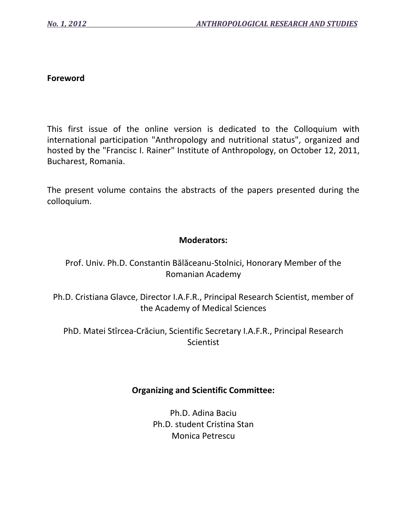## **Foreword**

This first issue of the online version is dedicated to the Colloquium with international participation "Anthropology and nutritional status", organized and hosted by the "Francisc I. Rainer" Institute of Anthropology, on October 12, 2011, Bucharest, Romania.

The present volume contains the abstracts of the papers presented during the colloquium.

## **Moderators:**

# Prof. Univ. Ph.D. Constantin Bălăceanu-Stolnici, Honorary Member of the Romanian Academy

Ph.D. Cristiana Glavce, Director I.A.F.R., Principal Research Scientist, member of the Academy of Medical Sciences

PhD. Matei Stîrcea-Crăciun, Scientific Secretary I.A.F.R., Principal Research **Scientist** 

## **Organizing and Scientific Committee:**

Ph.D. Adina Baciu Ph.D. student Cristina Stan Monica Petrescu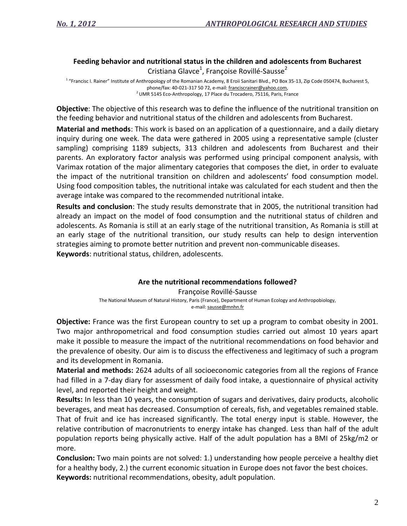### **Feeding behavior and nutritional status in the children and adolescents from Bucharest** Cristiana Glavce<sup>1</sup>, Françoise Rovillé-Sausse<sup>2</sup>

<sup>1</sup> "Francisc I. Rainer" Institute of Anthropology of the Romanian Academy, 8 Eroii Sanitari Blvd., PO Box 35-13, Zip Code 050474, Bucharest 5, phone/fax: 40-021-317 50 72, e-mail[: franciscrainer@yahoo.com,](franciscrainer@yahoo.com)  $2$  UMR 5145 Eco-Anthropology, 17 Place du Trocadero, 75116, Paris, France

**Objective**: The objective of this research was to define the influence of the nutritional transition on the feeding behavior and nutritional status of the children and adolescents from Bucharest.

**Material and methods**: This work is based on an application of a questionnaire, and a daily dietary inquiry during one week. The data were gathered in 2005 using a representative sample (cluster sampling) comprising 1189 subjects, 313 children and adolescents from Bucharest and their parents. An exploratory factor analysis was performed using principal component analysis, with Varimax rotation of the major alimentary categories that composes the diet, in order to evaluate the impact of the nutritional transition on children and adolescents' food consumption model. Using food composition tables, the nutritional intake was calculated for each student and then the average intake was compared to the recommended nutritional intake.

**Results and conclusion**: The study results demonstrate that in 2005, the nutritional transition had already an impact on the model of food consumption and the nutritional status of children and adolescents. As Romania is still at an early stage of the nutritional transition, As Romania is still at an early stage of the nutritional transition, our study results can help to design intervention strategies aiming to promote better nutrition and prevent non-communicable diseases. **Keywords**: nutritional status, children, adolescents.

#### **Are the nutritional recommendations followed?**

Françoise Rovillé-Sausse The National Museum of Natural History, Paris (France), Department of Human Ecology and Anthropobiology, e-mail[: sausse@mnhn.fr](sausse@mnhn.fr)

**Objective:** France was the first European country to set up a program to combat obesity in 2001. Two major anthropometrical and food consumption studies carried out almost 10 years apart make it possible to measure the impact of the nutritional recommendations on food behavior and the prevalence of obesity. Our aim is to discuss the effectiveness and legitimacy of such a program and its development in Romania.

**Material and methods:** 2624 adults of all socioeconomic categories from all the regions of France had filled in a 7-day diary for assessment of daily food intake, a questionnaire of physical activity level, and reported their height and weight.

**Results:** In less than 10 years, the consumption of sugars and derivatives, dairy products, alcoholic beverages, and meat has decreased. Consumption of cereals, fish, and vegetables remained stable. That of fruit and ice has increased significantly. The total energy input is stable. However, the relative contribution of macronutrients to energy intake has changed. Less than half of the adult population reports being physically active. Half of the adult population has a BMI of 25kg/m2 or more.

**Conclusion:** Two main points are not solved: 1.) understanding how people perceive a healthy diet for a healthy body, 2.) the current economic situation in Europe does not favor the best choices. **Keywords:** nutritional recommendations, obesity, adult population.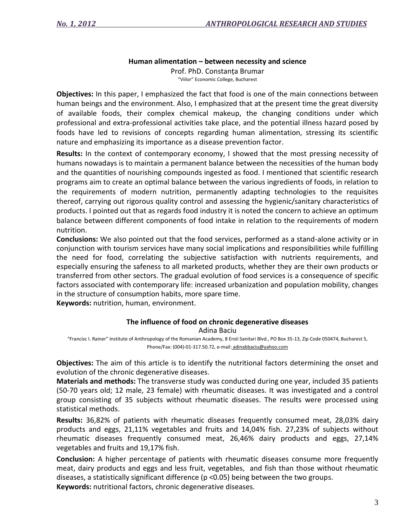#### **Human alimentation – between necessity and science**

Prof. PhD. Constanța Brumar "Viilor" Economic College, Bucharest

**Objectives:** In this paper, I emphasized the fact that food is one of the main connections between human beings and the environment. Also, I emphasized that at the present time the great diversity of available foods, their complex chemical makeup, the changing conditions under which professional and extra-professional activities take place, and the potential illness hazard posed by foods have led to revisions of concepts regarding human alimentation, stressing its scientific nature and emphasizing its importance as a disease prevention factor.

**Results:** In the context of contemporary economy, I showed that the most pressing necessity of humans nowadays is to maintain a permanent balance between the necessities of the human body and the quantities of nourishing compounds ingested as food. I mentioned that scientific research programs aim to create an optimal balance between the various ingredients of foods, in relation to the requirements of modern nutrition, permanently adapting technologies to the requisites thereof, carrying out rigorous quality control and assessing the hygienic/sanitary characteristics of products. I pointed out that as regards food industry it is noted the concern to achieve an optimum balance between different components of food intake in relation to the requirements of modern nutrition.

**Conclusions:** We also pointed out that the food services, performed as a stand-alone activity or in conjunction with tourism services have many social implications and responsibilities while fulfilling the need for food, correlating the subjective satisfaction with nutrients requirements, and especially ensuring the safeness to all marketed products, whether they are their own products or transferred from other sectors. The gradual evolution of food services is a consequence of specific factors associated with contemporary life: increased urbanization and population mobility, changes in the structure of consumption habits, more spare time.

**Keywords:** nutrition, human, environment.

#### **The influence of food on chronic degenerative diseases** Adina Baciu

"Francisc I. Rainer" Institute of Anthropology of the Romanian Academy, 8 Eroii Sanitari Blvd., PO Box 35-13, Zip Code 050474, Bucharest 5, Phone/Fax: (004)-01-317.50.72, e-mail: adinabbaciu@yahoo.com

**Objectives:** The aim of this article is to identify the nutritional factors determining the onset and evolution of the chronic degenerative diseases.

**Materials and methods:** The transverse study was conducted during one year, included 35 patients (50-70 years old; 12 male, 23 female) with rheumatic diseases. It was investigated and a control group consisting of 35 subjects without rheumatic diseases. The results were processed using statistical methods.

**Results:** 36,82% of patients with rheumatic diseases frequently consumed meat, 28,03% dairy products and eggs, 21,11% vegetables and fruits and 14,04% fish. 27,23% of subjects without rheumatic diseases frequently consumed meat, 26,46% dairy products and eggs, 27,14% vegetables and fruits and 19,17% fish.

**Conclusion:** A higher percentage of patients with rheumatic diseases consume more frequently meat, dairy products and eggs and less fruit, vegetables, and fish than those without rheumatic diseases, a statistically significant difference (p <0.05) being between the two groups.

**Keywords:** nutritional factors, chronic degenerative diseases.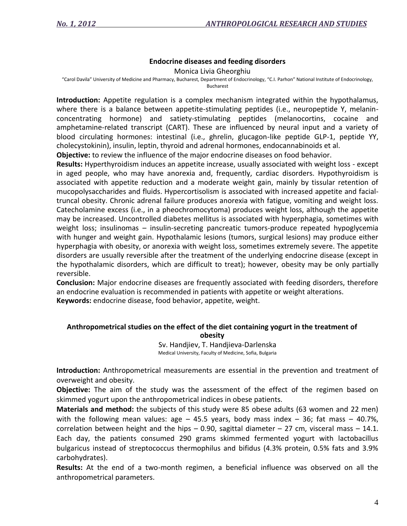### **Endocrine diseases and feeding disorders**

Monica Livia Gheorghiu

"Carol Davila" University of Medicine and Pharmacy, Bucharest, Department of Endocrinology, "C.I. Parhon" National Institute of Endocrinology, Bucharest

**Introduction:** Appetite regulation is a complex mechanism integrated within the hypothalamus, where there is a balance between appetite-stimulating peptides (i.e., neuropeptide Y, melaninconcentrating hormone) and satiety-stimulating peptides (melanocortins, cocaine and amphetamine-related transcript (CART). These are influenced by neural input and a variety of blood circulating hormones: intestinal (i.e., ghrelin, glucagon-like peptide GLP-1, peptide YY, cholecystokinin), insulin, leptin, thyroid and adrenal hormones, endocannabinoids et al.

**Objective:** to review the influence of the major endocrine diseases on food behavior.

**Results:** Hyperthyroidism induces an appetite increase, usually associated with weight loss - except in aged people, who may have anorexia and, frequently, cardiac disorders. Hypothyroidism is associated with appetite reduction and a moderate weight gain, mainly by tissular retention of mucopolysaccharides and fluids. Hypercortisolism is associated with increased appetite and facialtruncal obesity. Chronic adrenal failure produces anorexia with fatigue, vomiting and weight loss. Catecholamine excess (i.e., in a pheochromocytoma) produces weight loss, although the appetite may be increased. Uncontrolled diabetes mellitus is associated with hyperphagia, sometimes with weight loss; insulinomas – insulin-secreting pancreatic tumors-produce repeated hypoglycemia with hunger and weight gain. Hypothalamic lesions (tumors, surgical lesions) may produce either hyperphagia with obesity, or anorexia with weight loss, sometimes extremely severe. The appetite disorders are usually reversible after the treatment of the underlying endocrine disease (except in the hypothalamic disorders, which are difficult to treat); however, obesity may be only partially reversible.

**Conclusion:** Major endocrine diseases are frequently associated with feeding disorders, therefore an endocrine evaluation is recommended in patients with appetite or weight alterations. **Keywords:** endocrine disease, food behavior, appetite, weight.

### **Anthropometrical studies on the effect of the diet containing yogurt in the treatment of obesity**

Sv. Handjiev, T. Handjieva-Darlenska Medical University, Faculty of Medicine, Sofia, Bulgaria

**Introduction:** Anthropometrical measurements are essential in the prevention and treatment of overweight and obesity.

**Objective:** The aim of the study was the assessment of the effect of the regimen based on skimmed yogurt upon the anthropometrical indices in obese patients.

**Materials and method:** the subjects of this study were 85 obese adults (63 women and 22 men) with the following mean values: age  $-$  45.5 years, body mass index  $-$  36; fat mass  $-$  40.7%, correlation between height and the hips  $-$  0.90, sagittal diameter  $-$  27 cm, visceral mass  $-$  14.1. Each day, the patients consumed 290 grams skimmed fermented yogurt with lactobacillus bulgaricus instead of streptococcus thermophilus and bifidus (4.3% protein, 0.5% fats and 3.9% carbohydrates).

**Results:** At the end of a two-month regimen, a beneficial influence was observed on all the anthropometrical parameters.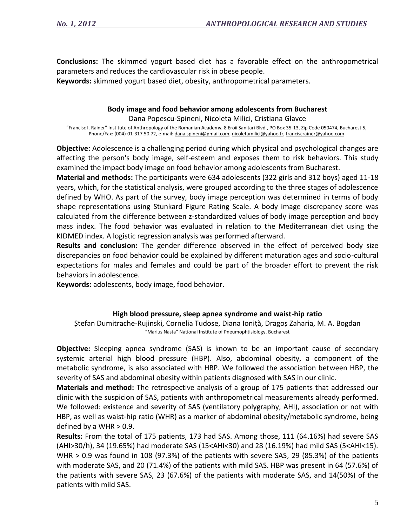**Conclusions:** The skimmed yogurt based diet has a favorable effect on the anthropometrical parameters and reduces the cardiovascular risk in obese people.

**Keywords:** skimmed yogurt based diet, obesity, anthropometrical parameters.

#### **Body image and food behavior among adolescents from Bucharest**

Dana Popescu-Spineni, Nicoleta Milici, Cristiana Glavce

"Francisc I. Rainer" Institute of Anthropology of the Romanian Academy, 8 Eroii Sanitari Blvd., PO Box 35-13, Zip Code 050474, Bucharest 5, Phone/Fax: (004)-01-317.50.72, e-mail: [dana.spineni@gmail.com,](dana.spineni@gmail.com) [nicoletamilici@yahoo.fr,](nicoletamilici@yahoo.fr)<franciscrainer@yahoo.com>

**Objective:** Adolescence is a challenging period during which physical and psychological changes are affecting the person's body image, self-esteem and exposes them to risk behaviors. This study examined the impact body image on food behavior among adolescents from Bucharest.

**Material and methods:** The participants were 634 adolescents (322 girls and 312 boys) aged 11-18 years, which, for the statistical analysis, were grouped according to the three stages of adolescence defined by WHO. As part of the survey, body image perception was determined in terms of body shape representations using Stunkard Figure Rating Scale. A body image discrepancy score was calculated from the difference between z-standardized values of body image perception and body mass index. The food behavior was evaluated in relation to the Mediterranean diet using the KIDMED index. A logistic regression analysis was performed afterward.

**Results and conclusion:** The gender difference observed in the effect of perceived body size discrepancies on food behavior could be explained by different maturation ages and socio-cultural expectations for males and females and could be part of the broader effort to prevent the risk behaviors in adolescence.

**Keywords:** adolescents, body image, food behavior.

#### **High blood pressure, sleep apnea syndrome and waist-hip ratio**

Ștefan Dumitrache-Rujinski, Cornelia Tudose, Diana Ioniță, Dragoș Zaharia, M. A. Bogdan "Marius Nasta" National Institute of Pneumophtisiology, Bucharest

**Objective:** Sleeping apnea syndrome (SAS) is known to be an important cause of secondary systemic arterial high blood pressure (HBP). Also, abdominal obesity, a component of the metabolic syndrome, is also associated with HBP. We followed the association between HBP, the severity of SAS and abdominal obesity within patients diagnosed with SAS in our clinic.

**Materials and method:** The retrospective analysis of a group of 175 patients that addressed our clinic with the suspicion of SAS, patients with anthropometrical measurements already performed. We followed: existence and severity of SAS (ventilatory polygraphy, AHI), association or not with HBP, as well as waist-hip ratio (WHR) as a marker of abdominal obesity/metabolic syndrome, being defined by a WHR  $> 0.9$ .

**Results:** From the total of 175 patients, 173 had SAS. Among those, 111 (64.16%) had severe SAS (AHI>30/h), 34 (19.65%) had moderate SAS (15<AHI<30) and 28 (16.19%) had mild SAS (5<AHI<15). WHR > 0.9 was found in 108 (97.3%) of the patients with severe SAS, 29 (85.3%) of the patients with moderate SAS, and 20 (71.4%) of the patients with mild SAS. HBP was present in 64 (57.6%) of the patients with severe SAS, 23 (67.6%) of the patients with moderate SAS, and 14(50%) of the patients with mild SAS.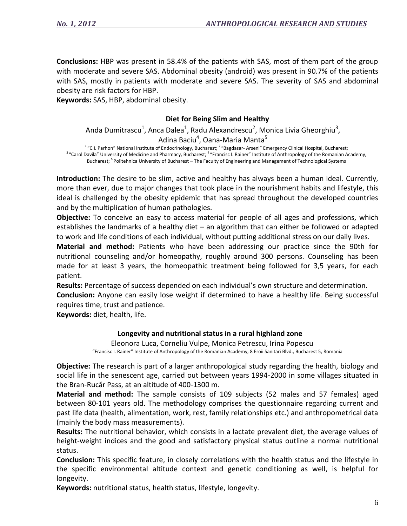**Conclusions:** HBP was present in 58.4% of the patients with SAS, most of them part of the group with moderate and severe SAS. Abdominal obesity (android) was present in 90.7% of the patients with SAS, mostly in patients with moderate and severe SAS. The severity of SAS and abdominal obesity are risk factors for HBP.

**Keywords:** SAS, HBP, abdominal obesity.

#### **Diet for Being Slim and Healthy**

Anda Dumitrascu<sup>1</sup>, Anca Dalea<sup>1</sup>, Radu Alexandrescu<sup>2</sup>, Monica Livia Gheorghiu<sup>3</sup>, Adina Baciu<sup>4</sup>, Oana-Maria Manta<sup>5</sup>

<sup>1</sup> "C.I. Parhon" National Institute of Endocrinology, Bucharest; <sup>2</sup> "Bagdasar- Arseni" Emergency Clinical Hospital, Bucharest; <sup>3</sup> "Carol Davila" University of Medicine and Pharmacy, Bucharest; <sup>4</sup> "Francisc I. Rainer" Institute of Anthropology of the Romanian Academy, Bucharest; <sup>5</sup> Politehnica University of Bucharest – The Faculty of Engineering and Management of Technological Systems

**Introduction:** The desire to be slim, active and healthy has always been a human ideal. Currently, more than ever, due to major changes that took place in the nourishment habits and lifestyle, this ideal is challenged by the obesity epidemic that has spread throughout the developed countries and by the multiplication of human pathologies.

**Objective:** To conceive an easy to access material for people of all ages and professions, which establishes the landmarks of a healthy diet – an algorithm that can either be followed or adapted to work and life conditions of each individual, without putting additional stress on our daily lives.

**Material and method:** Patients who have been addressing our practice since the 90th for nutritional counseling and/or homeopathy, roughly around 300 persons. Counseling has been made for at least 3 years, the homeopathic treatment being followed for 3,5 years, for each patient.

**Results:** Percentage of success depended on each individual's own structure and determination.

**Conclusion:** Anyone can easily lose weight if determined to have a healthy life. Being successful requires time, trust and patience.

**Keywords:** diet, health, life.

#### **Longevity and nutritional status in a rural highland zone**

Eleonora Luca, Corneliu Vulpe, Monica Petrescu, Irina Popescu "Francisc I. Rainer" Institute of Anthropology of the Romanian Academy, 8 Eroii Sanitari Blvd., Bucharest 5, Romania

**Objective:** The research is part of a larger anthropological study regarding the health, biology and social life in the senescent age, carried out between years 1994-2000 in some villages situated in the Bran-Rucăr Pass, at an altitude of 400-1300 m.

**Material and method:** The sample consists of 109 subjects (52 males and 57 females) aged between 80-101 years old. The methodology comprises the questionnaire regarding current and past life data (health, alimentation, work, rest, family relationships etc.) and anthropometrical data (mainly the body mass measurements).

**Results:** The nutritional behavior, which consists in a lactate prevalent diet, the average values of height-weight indices and the good and satisfactory physical status outline a normal nutritional status.

**Conclusion:** This specific feature, in closely correlations with the health status and the lifestyle in the specific environmental altitude context and genetic conditioning as well, is helpful for longevity.

**Keywords:** nutritional status, health status, lifestyle, longevity.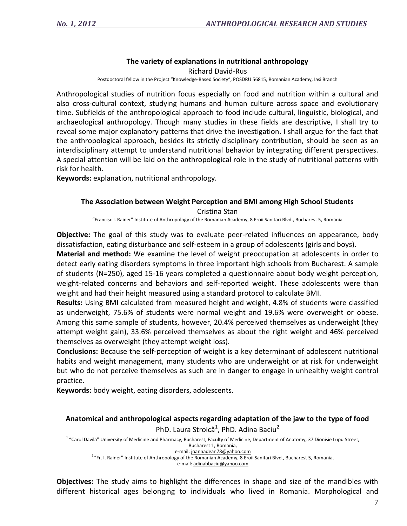## **The variety of explanations in nutritional anthropology**

Richard David-Rus

Postdoctoral fellow in the Project "Knowledge-Based Society", POSDRU 56815, Romanian Academy, Iasi Branch

Anthropological studies of nutrition focus especially on food and nutrition within a cultural and also cross-cultural context, studying humans and human culture across space and evolutionary time. Subfields of the anthropological approach to food include cultural, linguistic, biological, and archaeological anthropology. Though many studies in these fields are descriptive, I shall try to reveal some major explanatory patterns that drive the investigation. I shall argue for the fact that the anthropological approach, besides its strictly disciplinary contribution, should be seen as an interdisciplinary attempt to understand nutritional behavior by integrating different perspectives. A special attention will be laid on the anthropological role in the study of nutritional patterns with risk for health.

**Keywords:** explanation, nutritional anthropology.

# **The Association between Weight Perception and BMI among High School Students**

Cristina Stan

"Francisc I. Rainer" Institute of Anthropology of the Romanian Academy, 8 Eroii Sanitari Blvd., Bucharest 5, Romania

**Objective:** The goal of this study was to evaluate peer-related influences on appearance, body dissatisfaction, eating disturbance and self-esteem in a group of adolescents (girls and boys).

**Material and method:** We examine the level of weight preoccupation at adolescents in order to detect early eating disorders symptoms in three important high schools from Bucharest. A sample of students (N=250), aged 15-16 years completed a questionnaire about body weight perception, weight-related concerns and behaviors and self-reported weight. These adolescents were than weight and had their height measured using a standard protocol to calculate BMI.

**Results:** Using BMI calculated from measured height and weight, 4.8% of students were classified as underweight, 75.6% of students were normal weight and 19.6% were overweight or obese. Among this same sample of students, however, 20.4% perceived themselves as underweight (they attempt weight gain), 33.6% perceived themselves as about the right weight and 46% perceived themselves as overweight (they attempt weight loss).

**Conclusions:** Because the self-perception of weight is a key determinant of adolescent nutritional habits and weight management, many students who are underweight or at risk for underweight but who do not perceive themselves as such are in danger to engage in unhealthy weight control practice.

**Keywords:** body weight, eating disorders, adolescents.

## **Anatomical and anthropological aspects regarding adaptation of the jaw to the type of food** PhD. Laura Stroică<sup>1</sup>, PhD. Adina Baciu<sup>2</sup>

<sup>1</sup> "Carol Davila" University of Medicine and Pharmacy, Bucharest, Faculty of Medicine, Department of Anatomy, 37 Dionisie Lupu Street, Bucharest 1, Romania, e-mail: joannadean78@yahoo.com <sup>2</sup> "Fr. I. Rainer" Institute of Anthropology of the Romanian Academy, 8 Eroii Sanitari Blvd., Bucharest 5, Romania,

e-mail: adinabbaciu@yahoo.com

**Objectives:** The study aims to highlight the differences in shape and size of the mandibles with different historical ages belonging to individuals who lived in Romania. Morphological and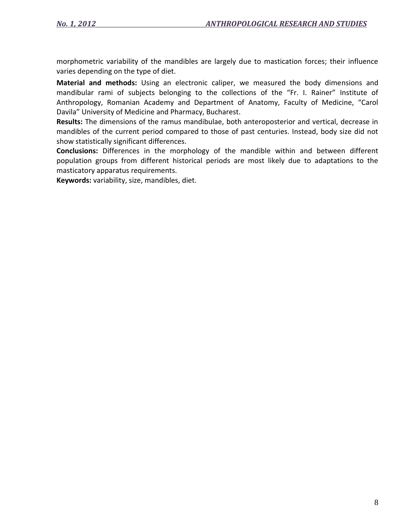morphometric variability of the mandibles are largely due to mastication forces; their influence varies depending on the type of diet.

**Material and methods:** Using an electronic caliper, we measured the body dimensions and mandibular rami of subjects belonging to the collections of the "Fr. I. Rainer" Institute of Anthropology, Romanian Academy and Department of Anatomy, Faculty of Medicine, "Carol Davila" University of Medicine and Pharmacy, Bucharest.

**Results:** The dimensions of the ramus mandibulae, both anteroposterior and vertical, decrease in mandibles of the current period compared to those of past centuries. Instead, body size did not show statistically significant differences.

**Conclusions:** Differences in the morphology of the mandible within and between different population groups from different historical periods are most likely due to adaptations to the masticatory apparatus requirements.

**Keywords:** variability, size, mandibles, diet.